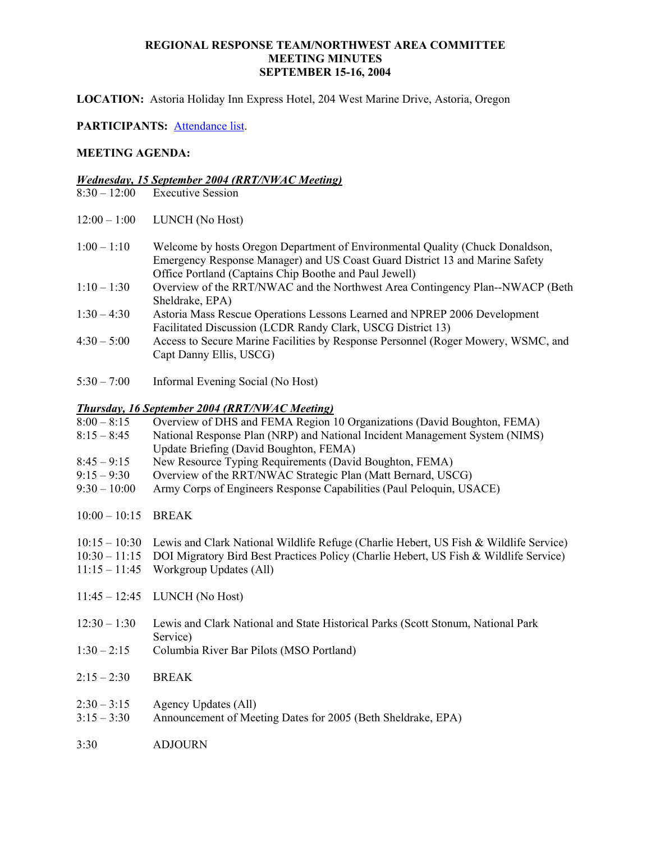**LOCATION:** Astoria Holiday Inn Express Hotel, 204 West Marine Drive, Astoria, Oregon

## **PARTICIPANTS:** Attendance list.

## **MEETING AGENDA:**

# *Wednesday, 15 September 2004 (RRT/NWAC Meeting)*

- **Executive Session**
- 12:00 1:00 LUNCH (No Host)
- 1:00 1:10 Welcome by hosts Oregon Department of Environmental Quality (Chuck Donaldson, Emergency Response Manager) and US Coast Guard District 13 and Marine Safety Office Portland (Captains Chip Boothe and Paul Jewell)
- 1:10 1:30 Overview of the RRT/NWAC and the Northwest Area Contingency Plan--NWACP (Beth Sheldrake, EPA)
- 1:30 4:30 Astoria Mass Rescue Operations Lessons Learned and NPREP 2006 Development Facilitated Discussion (LCDR Randy Clark, USCG District 13)
- 4:30 5:00 Access to Secure Marine Facilities by Response Personnel (Roger Mowery, WSMC, and Capt Danny Ellis, USCG)
- 5:30 7:00 Informal Evening Social (No Host)

## *Thursday, 16 September 2004 (RRT/NWAC Meeting)*

| $8:00 - 8:15$   | Overview of DHS and FEMA Region 10 Organizations (David Boughton, FEMA)                             |
|-----------------|-----------------------------------------------------------------------------------------------------|
| $8:15 - 8:45$   | National Response Plan (NRP) and National Incident Management System (NIMS)                         |
|                 | Update Briefing (David Boughton, FEMA)                                                              |
| $8:45 - 9:15$   | New Resource Typing Requirements (David Boughton, FEMA)                                             |
| $9:15 - 9:30$   | Overview of the RRT/NWAC Strategic Plan (Matt Bernard, USCG)                                        |
| $9:30 - 10:00$  | Army Corps of Engineers Response Capabilities (Paul Peloquin, USACE)                                |
| $10:00 - 10:15$ | <b>BREAK</b>                                                                                        |
|                 | $10:15-10:30$ Lewis and Clark National Wildlife Refuge (Charlie Hebert, US Fish & Wildlife Service) |
|                 | 10:30 – 11:15 DOI Migratory Bird Best Practices Policy (Charlie Hebert, US Fish & Wildlife Service) |
| $11:15 - 11:45$ | Workgroup Updates (All)                                                                             |
|                 | $11:45 - 12:45$ LUNCH (No Host)                                                                     |
| $12:30 - 1:30$  | Lewis and Clark National and State Historical Parks (Scott Stonum, National Park                    |

Service)

- 1:30 2:15 Columbia River Bar Pilots (MSO Portland)
- 2:15 2:30 BREAK
- $2:30-3:15$  Agency Updates (All)
- 3:15 3:30 Announcement of Meeting Dates for 2005 (Beth Sheldrake, EPA)
- 3:30 ADJOURN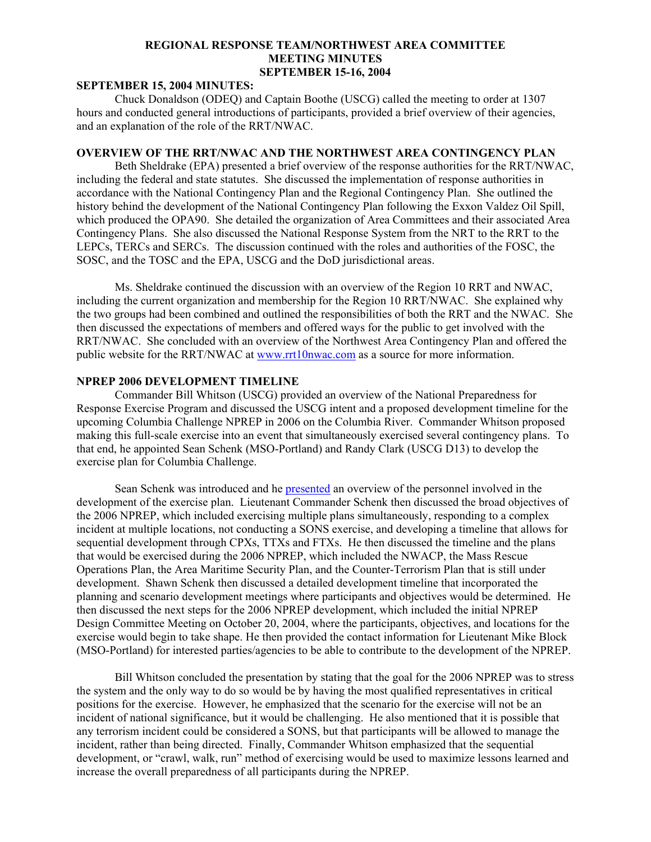## **SEPTEMBER 15, 2004 MINUTES:**

Chuck Donaldson (ODEQ) and Captain Boothe (USCG) called the meeting to order at 1307 hours and conducted general introductions of participants, provided a brief overview of their agencies, and an explanation of the role of the RRT/NWAC.

## **OVERVIEW OF THE RRT/NWAC AND THE NORTHWEST AREA CONTINGENCY PLAN**

Beth Sheldrake (EPA) presented a brief overview of the response authorities for the RRT/NWAC, including the federal and state statutes. She discussed the implementation of response authorities in accordance with the National Contingency Plan and the Regional Contingency Plan. She outlined the history behind the development of the National Contingency Plan following the Exxon Valdez Oil Spill, which produced the OPA90. She detailed the organization of Area Committees and their associated Area Contingency Plans. She also discussed the National Response System from the NRT to the RRT to the LEPCs, TERCs and SERCs. The discussion continued with the roles and authorities of the FOSC, the SOSC, and the TOSC and the EPA, USCG and the DoD jurisdictional areas.

Ms. Sheldrake continued the discussion with an overview of the Region 10 RRT and NWAC, including the current organization and membership for the Region 10 RRT/NWAC. She explained why the two groups had been combined and outlined the responsibilities of both the RRT and the NWAC. She then discussed the expectations of members and offered ways for the public to get involved with the RRT/NWAC. She concluded with an overview of the Northwest Area Contingency Plan and offered the public website for the RRT/NWAC at [www.rrt10nwac.com](http://www.rrt10nwac.com/) as a source for more information.

## **NPREP 2006 DEVELOPMENT TIMELINE**

Commander Bill Whitson (USCG) provided an overview of the National Preparedness for Response Exercise Program and discussed the USCG intent and a proposed development timeline for the upcoming Columbia Challenge NPREP in 2006 on the Columbia River. Commander Whitson proposed making this full-scale exercise into an event that simultaneously exercised several contingency plans. To that end, he appointed Sean Schenk (MSO-Portland) and Randy Clark (USCG D13) to develop the exercise plan for Columbia Challenge.

Sean Schenk was introduced and he [presented](http://www.rrt10nwac.com/ppt_main.asp?varDir=15&varCount=8&varFile=040915_rrtnwac.pdf) an overview of the personnel involved in the development of the exercise plan. Lieutenant Commander Schenk then discussed the broad objectives of the 2006 NPREP, which included exercising multiple plans simultaneously, responding to a complex incident at multiple locations, not conducting a SONS exercise, and developing a timeline that allows for sequential development through CPXs, TTXs and FTXs. He then discussed the timeline and the plans that would be exercised during the 2006 NPREP, which included the NWACP, the Mass Rescue Operations Plan, the Area Maritime Security Plan, and the Counter-Terrorism Plan that is still under development. Shawn Schenk then discussed a detailed development timeline that incorporated the planning and scenario development meetings where participants and objectives would be determined. He then discussed the next steps for the 2006 NPREP development, which included the initial NPREP Design Committee Meeting on October 20, 2004, where the participants, objectives, and locations for the exercise would begin to take shape. He then provided the contact information for Lieutenant Mike Block (MSO-Portland) for interested parties/agencies to be able to contribute to the development of the NPREP.

Bill Whitson concluded the presentation by stating that the goal for the 2006 NPREP was to stress the system and the only way to do so would be by having the most qualified representatives in critical positions for the exercise. However, he emphasized that the scenario for the exercise will not be an incident of national significance, but it would be challenging. He also mentioned that it is possible that any terrorism incident could be considered a SONS, but that participants will be allowed to manage the incident, rather than being directed. Finally, Commander Whitson emphasized that the sequential development, or "crawl, walk, run" method of exercising would be used to maximize lessons learned and increase the overall preparedness of all participants during the NPREP.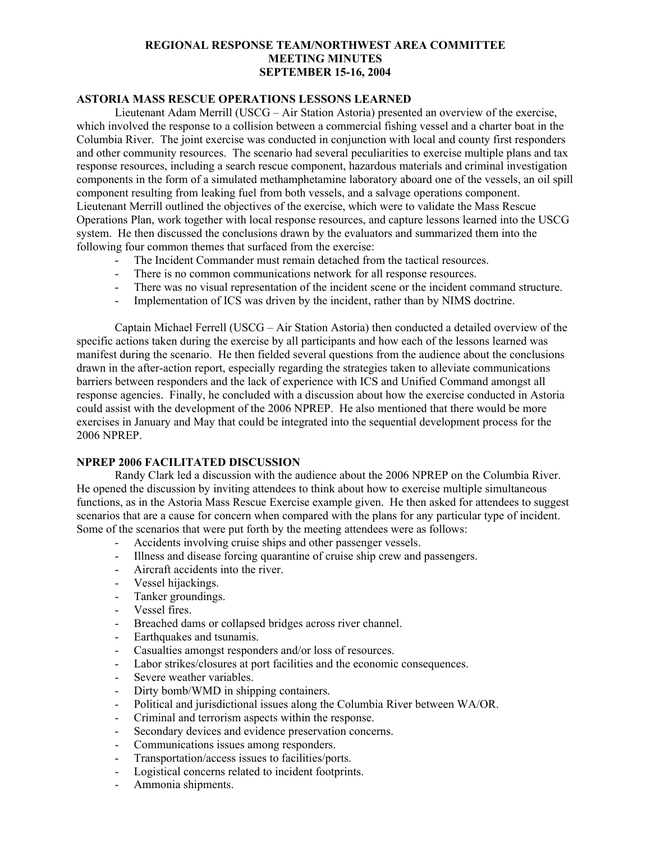## **ASTORIA MASS RESCUE OPERATIONS LESSONS LEARNED**

Lieutenant Adam Merrill (USCG – Air Station Astoria) presented an overview of the exercise, which involved the response to a collision between a commercial fishing vessel and a charter boat in the Columbia River. The joint exercise was conducted in conjunction with local and county first responders and other community resources. The scenario had several peculiarities to exercise multiple plans and tax response resources, including a search rescue component, hazardous materials and criminal investigation components in the form of a simulated methamphetamine laboratory aboard one of the vessels, an oil spill component resulting from leaking fuel from both vessels, and a salvage operations component. Lieutenant Merrill outlined the objectives of the exercise, which were to validate the Mass Rescue Operations Plan, work together with local response resources, and capture lessons learned into the USCG system. He then discussed the conclusions drawn by the evaluators and summarized them into the following four common themes that surfaced from the exercise:

- The Incident Commander must remain detached from the tactical resources.
- There is no common communications network for all response resources.
- There was no visual representation of the incident scene or the incident command structure.
- Implementation of ICS was driven by the incident, rather than by NIMS doctrine.

Captain Michael Ferrell (USCG – Air Station Astoria) then conducted a detailed overview of the specific actions taken during the exercise by all participants and how each of the lessons learned was manifest during the scenario. He then fielded several questions from the audience about the conclusions drawn in the after-action report, especially regarding the strategies taken to alleviate communications barriers between responders and the lack of experience with ICS and Unified Command amongst all response agencies. Finally, he concluded with a discussion about how the exercise conducted in Astoria could assist with the development of the 2006 NPREP. He also mentioned that there would be more exercises in January and May that could be integrated into the sequential development process for the 2006 NPREP.

## **NPREP 2006 FACILITATED DISCUSSION**

Randy Clark led a discussion with the audience about the 2006 NPREP on the Columbia River. He opened the discussion by inviting attendees to think about how to exercise multiple simultaneous functions, as in the Astoria Mass Rescue Exercise example given. He then asked for attendees to suggest scenarios that are a cause for concern when compared with the plans for any particular type of incident. Some of the scenarios that were put forth by the meeting attendees were as follows:

- Accidents involving cruise ships and other passenger vessels.
- Illness and disease forcing quarantine of cruise ship crew and passengers.
- Aircraft accidents into the river.
- Vessel hijackings.
- Tanker groundings.
- Vessel fires.
- Breached dams or collapsed bridges across river channel.
- Earthquakes and tsunamis.
- Casualties amongst responders and/or loss of resources.
- Labor strikes/closures at port facilities and the economic consequences.
- Severe weather variables.
- Dirty bomb/WMD in shipping containers.
- Political and jurisdictional issues along the Columbia River between WA/OR.
- Criminal and terrorism aspects within the response.
- Secondary devices and evidence preservation concerns.
- Communications issues among responders.
- Transportation/access issues to facilities/ports.
- Logistical concerns related to incident footprints.
- Ammonia shipments.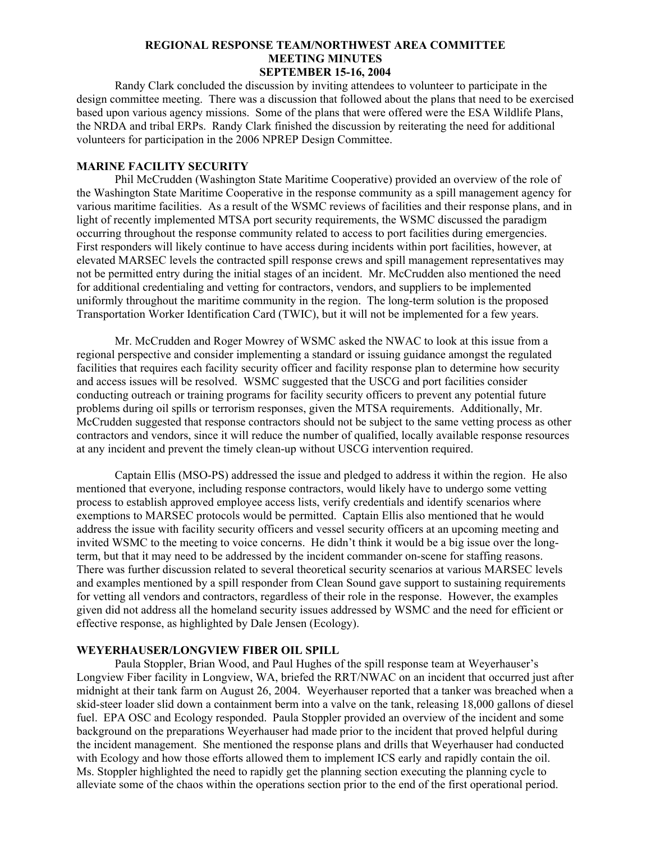Randy Clark concluded the discussion by inviting attendees to volunteer to participate in the design committee meeting. There was a discussion that followed about the plans that need to be exercised based upon various agency missions. Some of the plans that were offered were the ESA Wildlife Plans, the NRDA and tribal ERPs. Randy Clark finished the discussion by reiterating the need for additional volunteers for participation in the 2006 NPREP Design Committee.

### **MARINE FACILITY SECURITY**

 Phil McCrudden (Washington State Maritime Cooperative) provided an overview of the role of the Washington State Maritime Cooperative in the response community as a spill management agency for various maritime facilities. As a result of the WSMC reviews of facilities and their response plans, and in light of recently implemented MTSA port security requirements, the WSMC discussed the paradigm occurring throughout the response community related to access to port facilities during emergencies. First responders will likely continue to have access during incidents within port facilities, however, at elevated MARSEC levels the contracted spill response crews and spill management representatives may not be permitted entry during the initial stages of an incident. Mr. McCrudden also mentioned the need for additional credentialing and vetting for contractors, vendors, and suppliers to be implemented uniformly throughout the maritime community in the region. The long-term solution is the proposed Transportation Worker Identification Card (TWIC), but it will not be implemented for a few years.

Mr. McCrudden and Roger Mowrey of WSMC asked the NWAC to look at this issue from a regional perspective and consider implementing a standard or issuing guidance amongst the regulated facilities that requires each facility security officer and facility response plan to determine how security and access issues will be resolved. WSMC suggested that the USCG and port facilities consider conducting outreach or training programs for facility security officers to prevent any potential future problems during oil spills or terrorism responses, given the MTSA requirements. Additionally, Mr. McCrudden suggested that response contractors should not be subject to the same vetting process as other contractors and vendors, since it will reduce the number of qualified, locally available response resources at any incident and prevent the timely clean-up without USCG intervention required.

Captain Ellis (MSO-PS) addressed the issue and pledged to address it within the region. He also mentioned that everyone, including response contractors, would likely have to undergo some vetting process to establish approved employee access lists, verify credentials and identify scenarios where exemptions to MARSEC protocols would be permitted. Captain Ellis also mentioned that he would address the issue with facility security officers and vessel security officers at an upcoming meeting and invited WSMC to the meeting to voice concerns. He didn't think it would be a big issue over the longterm, but that it may need to be addressed by the incident commander on-scene for staffing reasons. There was further discussion related to several theoretical security scenarios at various MARSEC levels and examples mentioned by a spill responder from Clean Sound gave support to sustaining requirements for vetting all vendors and contractors, regardless of their role in the response. However, the examples given did not address all the homeland security issues addressed by WSMC and the need for efficient or effective response, as highlighted by Dale Jensen (Ecology).

### **WEYERHAUSER/LONGVIEW FIBER OIL SPILL**

 Paula Stoppler, Brian Wood, and Paul Hughes of the spill response team at Weyerhauser's Longview Fiber facility in Longview, WA, briefed the RRT/NWAC on an incident that occurred just after midnight at their tank farm on August 26, 2004. Weyerhauser reported that a tanker was breached when a skid-steer loader slid down a containment berm into a valve on the tank, releasing 18,000 gallons of diesel fuel. EPA OSC and Ecology responded. Paula Stoppler provided an overview of the incident and some background on the preparations Weyerhauser had made prior to the incident that proved helpful during the incident management. She mentioned the response plans and drills that Weyerhauser had conducted with Ecology and how those efforts allowed them to implement ICS early and rapidly contain the oil. Ms. Stoppler highlighted the need to rapidly get the planning section executing the planning cycle to alleviate some of the chaos within the operations section prior to the end of the first operational period.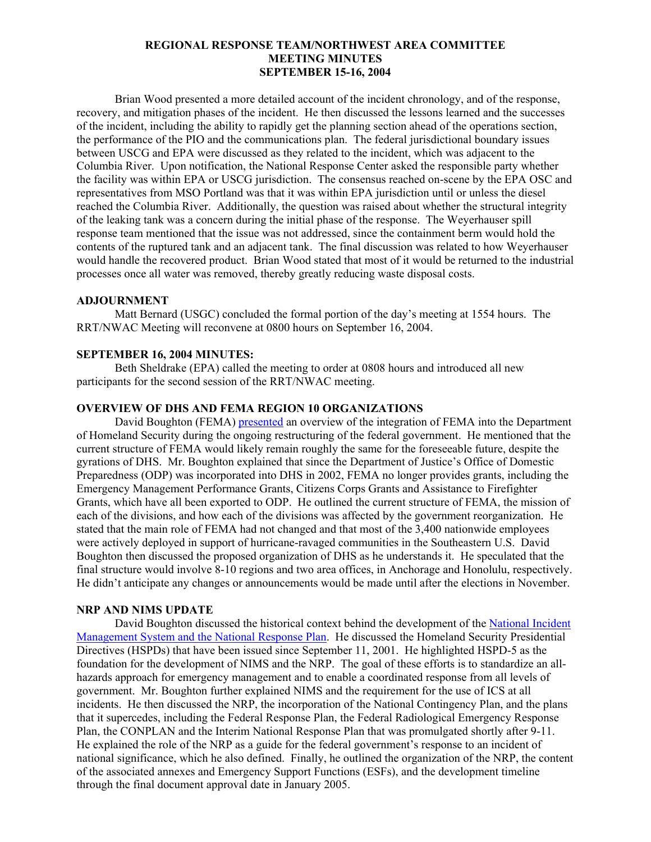Brian Wood presented a more detailed account of the incident chronology, and of the response, recovery, and mitigation phases of the incident. He then discussed the lessons learned and the successes of the incident, including the ability to rapidly get the planning section ahead of the operations section, the performance of the PIO and the communications plan. The federal jurisdictional boundary issues between USCG and EPA were discussed as they related to the incident, which was adjacent to the Columbia River. Upon notification, the National Response Center asked the responsible party whether the facility was within EPA or USCG jurisdiction. The consensus reached on-scene by the EPA OSC and representatives from MSO Portland was that it was within EPA jurisdiction until or unless the diesel reached the Columbia River. Additionally, the question was raised about whether the structural integrity of the leaking tank was a concern during the initial phase of the response. The Weyerhauser spill response team mentioned that the issue was not addressed, since the containment berm would hold the contents of the ruptured tank and an adjacent tank. The final discussion was related to how Weyerhauser would handle the recovered product. Brian Wood stated that most of it would be returned to the industrial processes once all water was removed, thereby greatly reducing waste disposal costs.

### **ADJOURNMENT**

Matt Bernard (USGC) concluded the formal portion of the day's meeting at 1554 hours. The RRT/NWAC Meeting will reconvene at 0800 hours on September 16, 2004.

### **SEPTEMBER 16, 2004 MINUTES:**

Beth Sheldrake (EPA) called the meeting to order at 0808 hours and introduced all new participants for the second session of the RRT/NWAC meeting.

## **OVERVIEW OF DHS AND FEMA REGION 10 ORGANIZATIONS**

David Boughton (FEMA) [presented](http://www.rrt10nwac.com/ppt_main.asp?varDir=16&varCount=25&varFile=040915_rrtnwac.pdf) an overview of the integration of FEMA into the Department of Homeland Security during the ongoing restructuring of the federal government. He mentioned that the current structure of FEMA would likely remain roughly the same for the foreseeable future, despite the gyrations of DHS. Mr. Boughton explained that since the Department of Justice's Office of Domestic Preparedness (ODP) was incorporated into DHS in 2002, FEMA no longer provides grants, including the Emergency Management Performance Grants, Citizens Corps Grants and Assistance to Firefighter Grants, which have all been exported to ODP. He outlined the current structure of FEMA, the mission of each of the divisions, and how each of the divisions was affected by the government reorganization. He stated that the main role of FEMA had not changed and that most of the 3,400 nationwide employees were actively deployed in support of hurricane-ravaged communities in the Southeastern U.S. David Boughton then discussed the proposed organization of DHS as he understands it. He speculated that the final structure would involve 8-10 regions and two area offices, in Anchorage and Honolulu, respectively. He didn't anticipate any changes or announcements would be made until after the elections in November.

#### **NRP AND NIMS UPDATE**

David Boughton discussed the historical context behind the development of the [National Incident](http://www.rrt10nwac.com/ppt_main.asp?varDir=17&varCount=13&varFile=040915_rrtnwac.pdf)  [Management System and the National Response Plan](http://www.rrt10nwac.com/ppt_main.asp?varDir=17&varCount=13&varFile=040915_rrtnwac.pdf). He discussed the Homeland Security Presidential Directives (HSPDs) that have been issued since September 11, 2001. He highlighted HSPD-5 as the foundation for the development of NIMS and the NRP. The goal of these efforts is to standardize an allhazards approach for emergency management and to enable a coordinated response from all levels of government. Mr. Boughton further explained NIMS and the requirement for the use of ICS at all incidents. He then discussed the NRP, the incorporation of the National Contingency Plan, and the plans that it supercedes, including the Federal Response Plan, the Federal Radiological Emergency Response Plan, the CONPLAN and the Interim National Response Plan that was promulgated shortly after 9-11. He explained the role of the NRP as a guide for the federal government's response to an incident of national significance, which he also defined. Finally, he outlined the organization of the NRP, the content of the associated annexes and Emergency Support Functions (ESFs), and the development timeline through the final document approval date in January 2005.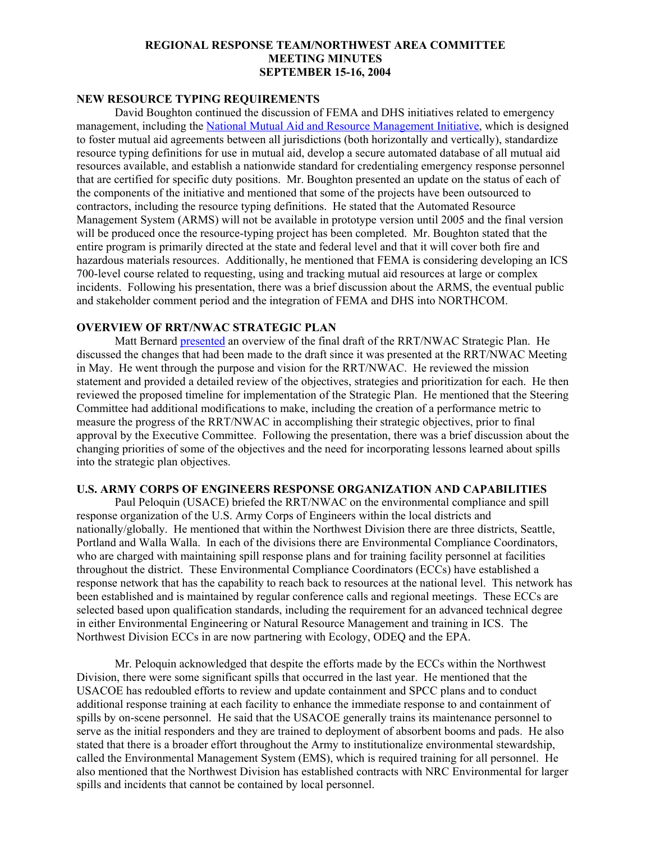## **NEW RESOURCE TYPING REQUIREMENTS**

David Boughton continued the discussion of FEMA and DHS initiatives related to emergency management, including the [National Mutual Aid and Resource Management Initiative,](http://www.rrt10nwac.com/ppt_main.asp?varDir=18&varCount=19&varFile=040915_rrtnwac.pdf) which is designed to foster mutual aid agreements between all jurisdictions (both horizontally and vertically), standardize resource typing definitions for use in mutual aid, develop a secure automated database of all mutual aid resources available, and establish a nationwide standard for credentialing emergency response personnel that are certified for specific duty positions. Mr. Boughton presented an update on the status of each of the components of the initiative and mentioned that some of the projects have been outsourced to contractors, including the resource typing definitions. He stated that the Automated Resource Management System (ARMS) will not be available in prototype version until 2005 and the final version will be produced once the resource-typing project has been completed. Mr. Boughton stated that the entire program is primarily directed at the state and federal level and that it will cover both fire and hazardous materials resources. Additionally, he mentioned that FEMA is considering developing an ICS 700-level course related to requesting, using and tracking mutual aid resources at large or complex incidents. Following his presentation, there was a brief discussion about the ARMS, the eventual public and stakeholder comment period and the integration of FEMA and DHS into NORTHCOM.

## **OVERVIEW OF RRT/NWAC STRATEGIC PLAN**

Matt Bernard [presented](http://www.rrt10nwac.com/ppt_main.asp?varDir=19&varCount=8&varFile=040915_rrtnwac.pdf) an overview of the final draft of the RRT/NWAC Strategic Plan. He discussed the changes that had been made to the draft since it was presented at the RRT/NWAC Meeting in May. He went through the purpose and vision for the RRT/NWAC. He reviewed the mission statement and provided a detailed review of the objectives, strategies and prioritization for each. He then reviewed the proposed timeline for implementation of the Strategic Plan. He mentioned that the Steering Committee had additional modifications to make, including the creation of a performance metric to measure the progress of the RRT/NWAC in accomplishing their strategic objectives, prior to final approval by the Executive Committee. Following the presentation, there was a brief discussion about the changing priorities of some of the objectives and the need for incorporating lessons learned about spills into the strategic plan objectives.

## **U.S. ARMY CORPS OF ENGINEERS RESPONSE ORGANIZATION AND CAPABILITIES**

Paul Peloquin (USACE) briefed the RRT/NWAC on the environmental compliance and spill response organization of the U.S. Army Corps of Engineers within the local districts and nationally/globally. He mentioned that within the Northwest Division there are three districts, Seattle, Portland and Walla Walla. In each of the divisions there are Environmental Compliance Coordinators, who are charged with maintaining spill response plans and for training facility personnel at facilities throughout the district. These Environmental Compliance Coordinators (ECCs) have established a response network that has the capability to reach back to resources at the national level. This network has been established and is maintained by regular conference calls and regional meetings. These ECCs are selected based upon qualification standards, including the requirement for an advanced technical degree in either Environmental Engineering or Natural Resource Management and training in ICS. The Northwest Division ECCs in are now partnering with Ecology, ODEQ and the EPA.

Mr. Peloquin acknowledged that despite the efforts made by the ECCs within the Northwest Division, there were some significant spills that occurred in the last year. He mentioned that the USACOE has redoubled efforts to review and update containment and SPCC plans and to conduct additional response training at each facility to enhance the immediate response to and containment of spills by on-scene personnel. He said that the USACOE generally trains its maintenance personnel to serve as the initial responders and they are trained to deployment of absorbent booms and pads. He also stated that there is a broader effort throughout the Army to institutionalize environmental stewardship, called the Environmental Management System (EMS), which is required training for all personnel. He also mentioned that the Northwest Division has established contracts with NRC Environmental for larger spills and incidents that cannot be contained by local personnel.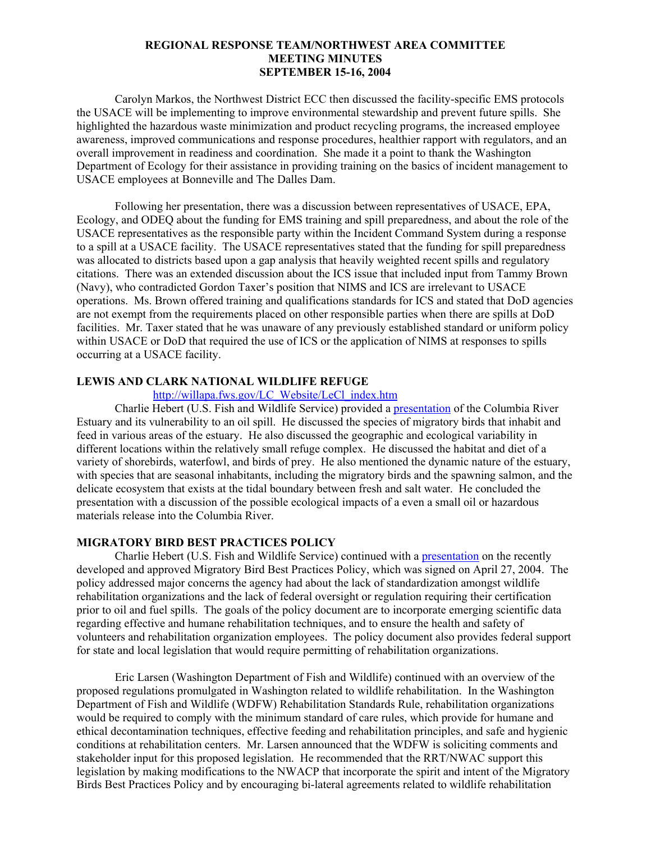Carolyn Markos, the Northwest District ECC then discussed the facility-specific EMS protocols the USACE will be implementing to improve environmental stewardship and prevent future spills. She highlighted the hazardous waste minimization and product recycling programs, the increased employee awareness, improved communications and response procedures, healthier rapport with regulators, and an overall improvement in readiness and coordination. She made it a point to thank the Washington Department of Ecology for their assistance in providing training on the basics of incident management to USACE employees at Bonneville and The Dalles Dam.

Following her presentation, there was a discussion between representatives of USACE, EPA, Ecology, and ODEQ about the funding for EMS training and spill preparedness, and about the role of the USACE representatives as the responsible party within the Incident Command System during a response to a spill at a USACE facility. The USACE representatives stated that the funding for spill preparedness was allocated to districts based upon a gap analysis that heavily weighted recent spills and regulatory citations. There was an extended discussion about the ICS issue that included input from Tammy Brown (Navy), who contradicted Gordon Taxer's position that NIMS and ICS are irrelevant to USACE operations. Ms. Brown offered training and qualifications standards for ICS and stated that DoD agencies are not exempt from the requirements placed on other responsible parties when there are spills at DoD facilities. Mr. Taxer stated that he was unaware of any previously established standard or uniform policy within USACE or DoD that required the use of ICS or the application of NIMS at responses to spills occurring at a USACE facility.

## **LEWIS AND CLARK NATIONAL WILDLIFE REFUGE**

## [http://willapa.fws.gov/LC\\_Website/LeCl\\_index.htm](http://willapa.fws.gov/LC_Website/LeCl_index.htm)

Charlie Hebert (U.S. Fish and Wildlife Service) provided a [presentation](http://www.rrt10nwac.com/ppt_main.asp?varDir=20&varCount=42&varFile=040915_rrtnwac.pdf) of the Columbia River Estuary and its vulnerability to an oil spill. He discussed the species of migratory birds that inhabit and feed in various areas of the estuary. He also discussed the geographic and ecological variability in different locations within the relatively small refuge complex. He discussed the habitat and diet of a variety of shorebirds, waterfowl, and birds of prey. He also mentioned the dynamic nature of the estuary, with species that are seasonal inhabitants, including the migratory birds and the spawning salmon, and the delicate ecosystem that exists at the tidal boundary between fresh and salt water. He concluded the presentation with a discussion of the possible ecological impacts of a even a small oil or hazardous materials release into the Columbia River.

## **MIGRATORY BIRD BEST PRACTICES POLICY**

 Charlie Hebert (U.S. Fish and Wildlife Service) continued with a [presentation](http://www.rrt10nwac.com/ppt_main.asp?varDir=21&varCount=36&varFile=040915_rrtnwac.pdf) on the recently developed and approved Migratory Bird Best Practices Policy, which was signed on April 27, 2004. The policy addressed major concerns the agency had about the lack of standardization amongst wildlife rehabilitation organizations and the lack of federal oversight or regulation requiring their certification prior to oil and fuel spills. The goals of the policy document are to incorporate emerging scientific data regarding effective and humane rehabilitation techniques, and to ensure the health and safety of volunteers and rehabilitation organization employees. The policy document also provides federal support for state and local legislation that would require permitting of rehabilitation organizations.

Eric Larsen (Washington Department of Fish and Wildlife) continued with an overview of the proposed regulations promulgated in Washington related to wildlife rehabilitation. In the Washington Department of Fish and Wildlife (WDFW) Rehabilitation Standards Rule, rehabilitation organizations would be required to comply with the minimum standard of care rules, which provide for humane and ethical decontamination techniques, effective feeding and rehabilitation principles, and safe and hygienic conditions at rehabilitation centers. Mr. Larsen announced that the WDFW is soliciting comments and stakeholder input for this proposed legislation. He recommended that the RRT/NWAC support this legislation by making modifications to the NWACP that incorporate the spirit and intent of the Migratory Birds Best Practices Policy and by encouraging bi-lateral agreements related to wildlife rehabilitation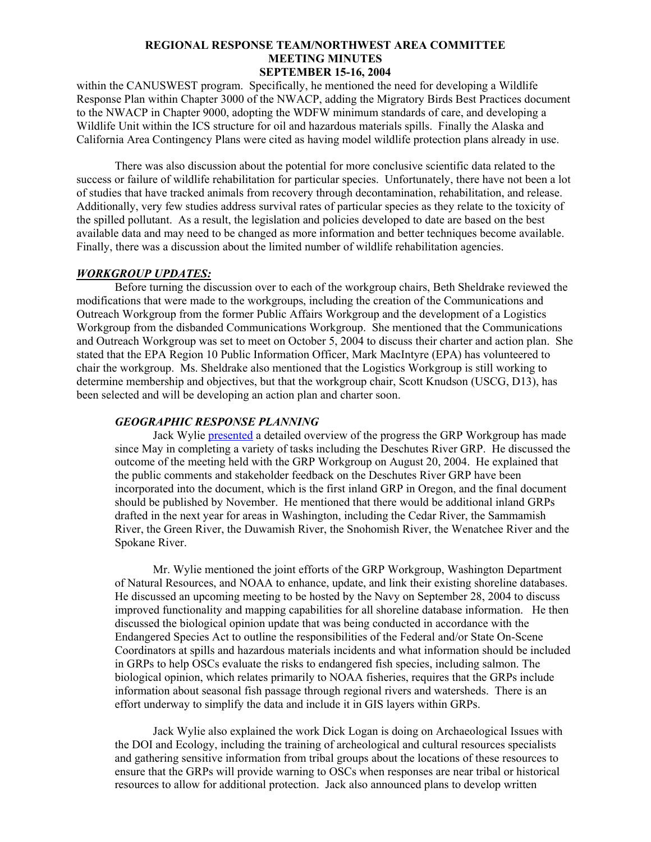within the CANUSWEST program. Specifically, he mentioned the need for developing a Wildlife Response Plan within Chapter 3000 of the NWACP, adding the Migratory Birds Best Practices document to the NWACP in Chapter 9000, adopting the WDFW minimum standards of care, and developing a Wildlife Unit within the ICS structure for oil and hazardous materials spills. Finally the Alaska and California Area Contingency Plans were cited as having model wildlife protection plans already in use.

 There was also discussion about the potential for more conclusive scientific data related to the success or failure of wildlife rehabilitation for particular species. Unfortunately, there have not been a lot of studies that have tracked animals from recovery through decontamination, rehabilitation, and release. Additionally, very few studies address survival rates of particular species as they relate to the toxicity of the spilled pollutant. As a result, the legislation and policies developed to date are based on the best available data and may need to be changed as more information and better techniques become available. Finally, there was a discussion about the limited number of wildlife rehabilitation agencies.

#### *WORKGROUP UPDATES:*

Before turning the discussion over to each of the workgroup chairs, Beth Sheldrake reviewed the modifications that were made to the workgroups, including the creation of the Communications and Outreach Workgroup from the former Public Affairs Workgroup and the development of a Logistics Workgroup from the disbanded Communications Workgroup. She mentioned that the Communications and Outreach Workgroup was set to meet on October 5, 2004 to discuss their charter and action plan. She stated that the EPA Region 10 Public Information Officer, Mark MacIntyre (EPA) has volunteered to chair the workgroup. Ms. Sheldrake also mentioned that the Logistics Workgroup is still working to determine membership and objectives, but that the workgroup chair, Scott Knudson (USCG, D13), has been selected and will be developing an action plan and charter soon.

#### *GEOGRAPHIC RESPONSE PLANNING*

Jack Wylie [presented](http://www.rrt10nwac.com/ppt_main.asp?varDir=22&varCount=1&varFile=040915_rrtnwac.pdf) a detailed overview of the progress the GRP Workgroup has made since May in completing a variety of tasks including the Deschutes River GRP. He discussed the outcome of the meeting held with the GRP Workgroup on August 20, 2004. He explained that the public comments and stakeholder feedback on the Deschutes River GRP have been incorporated into the document, which is the first inland GRP in Oregon, and the final document should be published by November. He mentioned that there would be additional inland GRPs drafted in the next year for areas in Washington, including the Cedar River, the Sammamish River, the Green River, the Duwamish River, the Snohomish River, the Wenatchee River and the Spokane River.

Mr. Wylie mentioned the joint efforts of the GRP Workgroup, Washington Department of Natural Resources, and NOAA to enhance, update, and link their existing shoreline databases. He discussed an upcoming meeting to be hosted by the Navy on September 28, 2004 to discuss improved functionality and mapping capabilities for all shoreline database information. He then discussed the biological opinion update that was being conducted in accordance with the Endangered Species Act to outline the responsibilities of the Federal and/or State On-Scene Coordinators at spills and hazardous materials incidents and what information should be included in GRPs to help OSCs evaluate the risks to endangered fish species, including salmon. The biological opinion, which relates primarily to NOAA fisheries, requires that the GRPs include information about seasonal fish passage through regional rivers and watersheds. There is an effort underway to simplify the data and include it in GIS layers within GRPs.

Jack Wylie also explained the work Dick Logan is doing on Archaeological Issues with the DOI and Ecology, including the training of archeological and cultural resources specialists and gathering sensitive information from tribal groups about the locations of these resources to ensure that the GRPs will provide warning to OSCs when responses are near tribal or historical resources to allow for additional protection. Jack also announced plans to develop written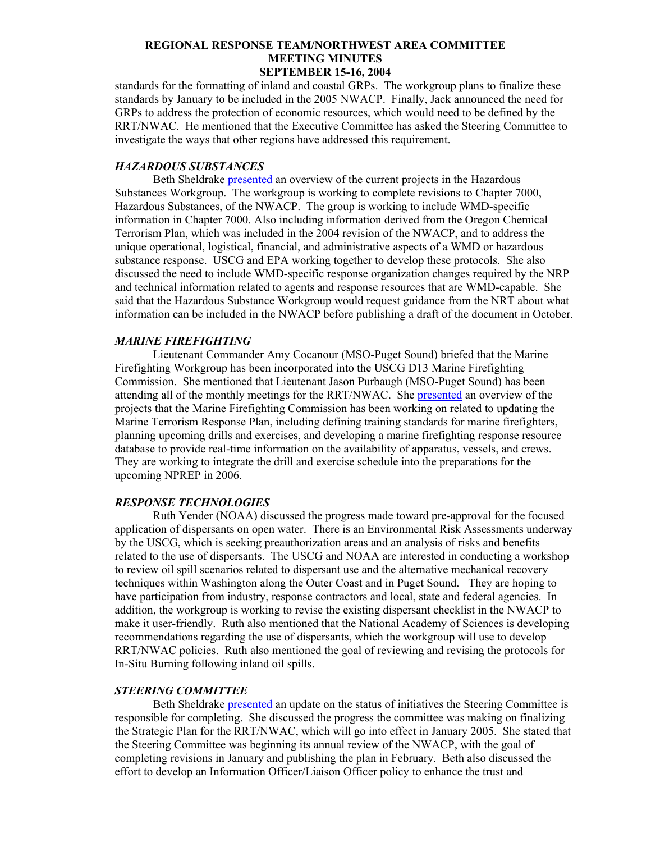standards for the formatting of inland and coastal GRPs. The workgroup plans to finalize these standards by January to be included in the 2005 NWACP. Finally, Jack announced the need for GRPs to address the protection of economic resources, which would need to be defined by the RRT/NWAC. He mentioned that the Executive Committee has asked the Steering Committee to investigate the ways that other regions have addressed this requirement.

### *HAZARDOUS SUBSTANCES*

Beth Sheldrake [presented](http://www.rrt10nwac.com/ppt_main.asp?varDir=23&varCount=1&varFile=040915_rrtnwac.pdf) an overview of the current projects in the Hazardous Substances Workgroup. The workgroup is working to complete revisions to Chapter 7000, Hazardous Substances, of the NWACP. The group is working to include WMD-specific information in Chapter 7000. Also including information derived from the Oregon Chemical Terrorism Plan, which was included in the 2004 revision of the NWACP, and to address the unique operational, logistical, financial, and administrative aspects of a WMD or hazardous substance response. USCG and EPA working together to develop these protocols. She also discussed the need to include WMD-specific response organization changes required by the NRP and technical information related to agents and response resources that are WMD-capable. She said that the Hazardous Substance Workgroup would request guidance from the NRT about what information can be included in the NWACP before publishing a draft of the document in October.

## *MARINE FIREFIGHTING*

Lieutenant Commander Amy Cocanour (MSO-Puget Sound) briefed that the Marine Firefighting Workgroup has been incorporated into the USCG D13 Marine Firefighting Commission. She mentioned that Lieutenant Jason Purbaugh (MSO-Puget Sound) has been attending all of the monthly meetings for the RRT/NWAC. She [presented](http://www.rrt10nwac.com/ppt_main.asp?varDir=24&varCount=1&varFile=040915_rrtnwac.pdf) an overview of the projects that the Marine Firefighting Commission has been working on related to updating the Marine Terrorism Response Plan, including defining training standards for marine firefighters, planning upcoming drills and exercises, and developing a marine firefighting response resource database to provide real-time information on the availability of apparatus, vessels, and crews. They are working to integrate the drill and exercise schedule into the preparations for the upcoming NPREP in 2006.

## *RESPONSE TECHNOLOGIES*

Ruth Yender (NOAA) discussed the progress made toward pre-approval for the focused application of dispersants on open water. There is an Environmental Risk Assessments underway by the USCG, which is seeking preauthorization areas and an analysis of risks and benefits related to the use of dispersants. The USCG and NOAA are interested in conducting a workshop to review oil spill scenarios related to dispersant use and the alternative mechanical recovery techniques within Washington along the Outer Coast and in Puget Sound. They are hoping to have participation from industry, response contractors and local, state and federal agencies. In addition, the workgroup is working to revise the existing dispersant checklist in the NWACP to make it user-friendly. Ruth also mentioned that the National Academy of Sciences is developing recommendations regarding the use of dispersants, which the workgroup will use to develop RRT/NWAC policies. Ruth also mentioned the goal of reviewing and revising the protocols for In-Situ Burning following inland oil spills.

## *STEERING COMMITTEE*

Beth Sheldrake [presented](http://www.rrt10nwac.com/ppt_main.asp?varDir=25&varCount=2&varFile=040915_rrtnwac.pdf) an update on the status of initiatives the Steering Committee is responsible for completing. She discussed the progress the committee was making on finalizing the Strategic Plan for the RRT/NWAC, which will go into effect in January 2005. She stated that the Steering Committee was beginning its annual review of the NWACP, with the goal of completing revisions in January and publishing the plan in February. Beth also discussed the effort to develop an Information Officer/Liaison Officer policy to enhance the trust and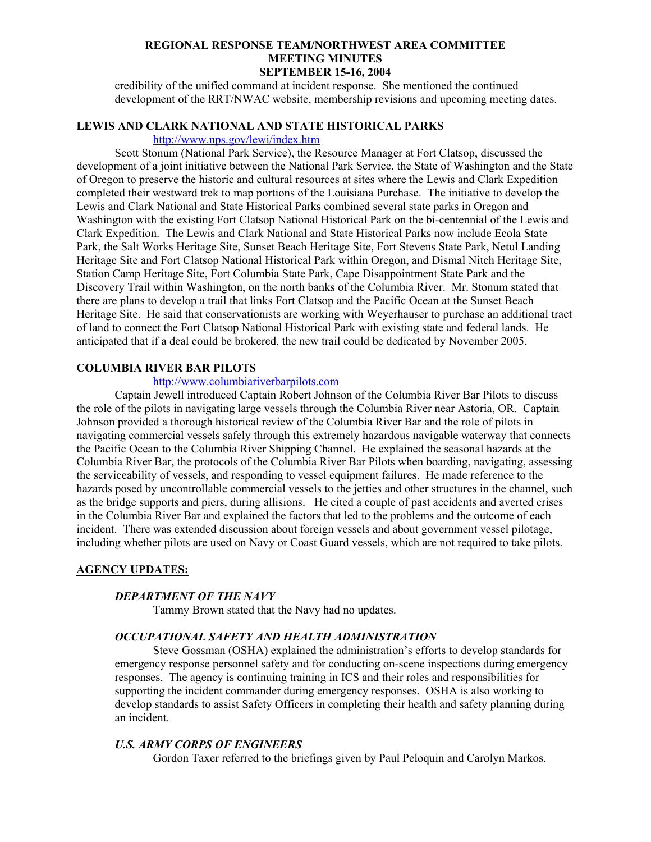credibility of the unified command at incident response. She mentioned the continued development of the RRT/NWAC website, membership revisions and upcoming meeting dates.

## **LEWIS AND CLARK NATIONAL AND STATE HISTORICAL PARKS**

## <http://www.nps.gov/lewi/index.htm>

Scott Stonum (National Park Service), the Resource Manager at Fort Clatsop, discussed the development of a joint initiative between the National Park Service, the State of Washington and the State of Oregon to preserve the historic and cultural resources at sites where the Lewis and Clark Expedition completed their westward trek to map portions of the Louisiana Purchase. The initiative to develop the Lewis and Clark National and State Historical Parks combined several state parks in Oregon and Washington with the existing Fort Clatsop National Historical Park on the bi-centennial of the Lewis and Clark Expedition. The Lewis and Clark National and State Historical Parks now include Ecola State Park, the Salt Works Heritage Site, Sunset Beach Heritage Site, Fort Stevens State Park, Netul Landing Heritage Site and Fort Clatsop National Historical Park within Oregon, and Dismal Nitch Heritage Site, Station Camp Heritage Site, Fort Columbia State Park, Cape Disappointment State Park and the Discovery Trail within Washington, on the north banks of the Columbia River. Mr. Stonum stated that there are plans to develop a trail that links Fort Clatsop and the Pacific Ocean at the Sunset Beach Heritage Site. He said that conservationists are working with Weyerhauser to purchase an additional tract of land to connect the Fort Clatsop National Historical Park with existing state and federal lands. He anticipated that if a deal could be brokered, the new trail could be dedicated by November 2005.

## **COLUMBIA RIVER BAR PILOTS**

## [http://www.columbiariverbarpilots.com](http://www.columbiariverbarpilots.com/)

 Captain Jewell introduced Captain Robert Johnson of the Columbia River Bar Pilots to discuss the role of the pilots in navigating large vessels through the Columbia River near Astoria, OR. Captain Johnson provided a thorough historical review of the Columbia River Bar and the role of pilots in navigating commercial vessels safely through this extremely hazardous navigable waterway that connects the Pacific Ocean to the Columbia River Shipping Channel. He explained the seasonal hazards at the Columbia River Bar, the protocols of the Columbia River Bar Pilots when boarding, navigating, assessing the serviceability of vessels, and responding to vessel equipment failures. He made reference to the hazards posed by uncontrollable commercial vessels to the jetties and other structures in the channel, such as the bridge supports and piers, during allisions. He cited a couple of past accidents and averted crises in the Columbia River Bar and explained the factors that led to the problems and the outcome of each incident. There was extended discussion about foreign vessels and about government vessel pilotage, including whether pilots are used on Navy or Coast Guard vessels, which are not required to take pilots.

### **AGENCY UPDATES:**

## *DEPARTMENT OF THE NAVY*

Tammy Brown stated that the Navy had no updates.

### *OCCUPATIONAL SAFETY AND HEALTH ADMINISTRATION*

Steve Gossman (OSHA) explained the administration's efforts to develop standards for emergency response personnel safety and for conducting on-scene inspections during emergency responses. The agency is continuing training in ICS and their roles and responsibilities for supporting the incident commander during emergency responses. OSHA is also working to develop standards to assist Safety Officers in completing their health and safety planning during an incident.

## *U.S. ARMY CORPS OF ENGINEERS*

Gordon Taxer referred to the briefings given by Paul Peloquin and Carolyn Markos.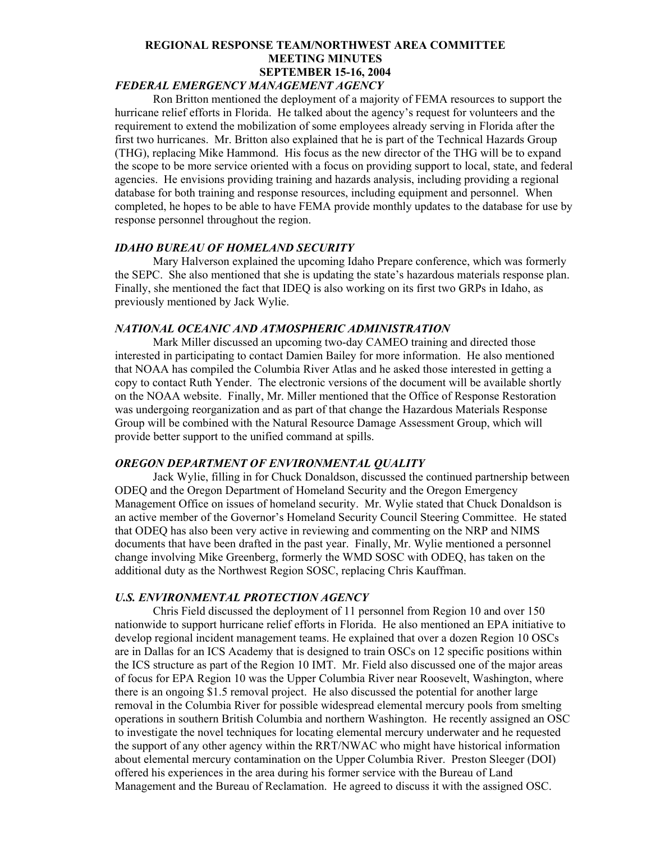## *FEDERAL EMERGENCY MANAGEMENT AGENCY*

Ron Britton mentioned the deployment of a majority of FEMA resources to support the hurricane relief efforts in Florida. He talked about the agency's request for volunteers and the requirement to extend the mobilization of some employees already serving in Florida after the first two hurricanes. Mr. Britton also explained that he is part of the Technical Hazards Group (THG), replacing Mike Hammond. His focus as the new director of the THG will be to expand the scope to be more service oriented with a focus on providing support to local, state, and federal agencies. He envisions providing training and hazards analysis, including providing a regional database for both training and response resources, including equipment and personnel. When completed, he hopes to be able to have FEMA provide monthly updates to the database for use by response personnel throughout the region.

## *IDAHO BUREAU OF HOMELAND SECURITY*

Mary Halverson explained the upcoming Idaho Prepare conference, which was formerly the SEPC. She also mentioned that she is updating the state's hazardous materials response plan. Finally, she mentioned the fact that IDEQ is also working on its first two GRPs in Idaho, as previously mentioned by Jack Wylie.

## *NATIONAL OCEANIC AND ATMOSPHERIC ADMINISTRATION*

Mark Miller discussed an upcoming two-day CAMEO training and directed those interested in participating to contact Damien Bailey for more information. He also mentioned that NOAA has compiled the Columbia River Atlas and he asked those interested in getting a copy to contact Ruth Yender. The electronic versions of the document will be available shortly on the NOAA website. Finally, Mr. Miller mentioned that the Office of Response Restoration was undergoing reorganization and as part of that change the Hazardous Materials Response Group will be combined with the Natural Resource Damage Assessment Group, which will provide better support to the unified command at spills.

## *OREGON DEPARTMENT OF ENVIRONMENTAL QUALITY*

Jack Wylie, filling in for Chuck Donaldson, discussed the continued partnership between ODEQ and the Oregon Department of Homeland Security and the Oregon Emergency Management Office on issues of homeland security. Mr. Wylie stated that Chuck Donaldson is an active member of the Governor's Homeland Security Council Steering Committee. He stated that ODEQ has also been very active in reviewing and commenting on the NRP and NIMS documents that have been drafted in the past year. Finally, Mr. Wylie mentioned a personnel change involving Mike Greenberg, formerly the WMD SOSC with ODEQ, has taken on the additional duty as the Northwest Region SOSC, replacing Chris Kauffman.

### *U.S. ENVIRONMENTAL PROTECTION AGENCY*

Chris Field discussed the deployment of 11 personnel from Region 10 and over 150 nationwide to support hurricane relief efforts in Florida. He also mentioned an EPA initiative to develop regional incident management teams. He explained that over a dozen Region 10 OSCs are in Dallas for an ICS Academy that is designed to train OSCs on 12 specific positions within the ICS structure as part of the Region 10 IMT. Mr. Field also discussed one of the major areas of focus for EPA Region 10 was the Upper Columbia River near Roosevelt, Washington, where there is an ongoing \$1.5 removal project. He also discussed the potential for another large removal in the Columbia River for possible widespread elemental mercury pools from smelting operations in southern British Columbia and northern Washington. He recently assigned an OSC to investigate the novel techniques for locating elemental mercury underwater and he requested the support of any other agency within the RRT/NWAC who might have historical information about elemental mercury contamination on the Upper Columbia River. Preston Sleeger (DOI) offered his experiences in the area during his former service with the Bureau of Land Management and the Bureau of Reclamation. He agreed to discuss it with the assigned OSC.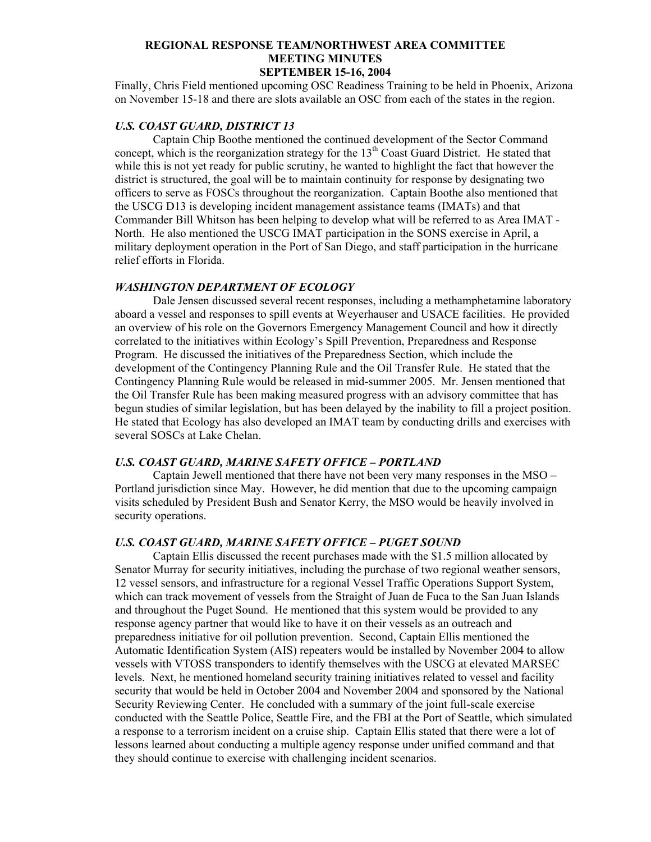Finally, Chris Field mentioned upcoming OSC Readiness Training to be held in Phoenix, Arizona on November 15-18 and there are slots available an OSC from each of the states in the region.

## *U.S. COAST GUARD, DISTRICT 13*

Captain Chip Boothe mentioned the continued development of the Sector Command concept, which is the reorganization strategy for the  $13<sup>th</sup>$  Coast Guard District. He stated that while this is not yet ready for public scrutiny, he wanted to highlight the fact that however the district is structured, the goal will be to maintain continuity for response by designating two officers to serve as FOSCs throughout the reorganization. Captain Boothe also mentioned that the USCG D13 is developing incident management assistance teams (IMATs) and that Commander Bill Whitson has been helping to develop what will be referred to as Area IMAT - North. He also mentioned the USCG IMAT participation in the SONS exercise in April, a military deployment operation in the Port of San Diego, and staff participation in the hurricane relief efforts in Florida.

#### *WASHINGTON DEPARTMENT OF ECOLOGY*

Dale Jensen discussed several recent responses, including a methamphetamine laboratory aboard a vessel and responses to spill events at Weyerhauser and USACE facilities. He provided an overview of his role on the Governors Emergency Management Council and how it directly correlated to the initiatives within Ecology's Spill Prevention, Preparedness and Response Program. He discussed the initiatives of the Preparedness Section, which include the development of the Contingency Planning Rule and the Oil Transfer Rule. He stated that the Contingency Planning Rule would be released in mid-summer 2005. Mr. Jensen mentioned that the Oil Transfer Rule has been making measured progress with an advisory committee that has begun studies of similar legislation, but has been delayed by the inability to fill a project position. He stated that Ecology has also developed an IMAT team by conducting drills and exercises with several SOSCs at Lake Chelan.

## *U.S. COAST GUARD, MARINE SAFETY OFFICE – PORTLAND*

Captain Jewell mentioned that there have not been very many responses in the MSO – Portland jurisdiction since May. However, he did mention that due to the upcoming campaign visits scheduled by President Bush and Senator Kerry, the MSO would be heavily involved in security operations.

## *U.S. COAST GUARD, MARINE SAFETY OFFICE – PUGET SOUND*

Captain Ellis discussed the recent purchases made with the \$1.5 million allocated by Senator Murray for security initiatives, including the purchase of two regional weather sensors, 12 vessel sensors, and infrastructure for a regional Vessel Traffic Operations Support System, which can track movement of vessels from the Straight of Juan de Fuca to the San Juan Islands and throughout the Puget Sound. He mentioned that this system would be provided to any response agency partner that would like to have it on their vessels as an outreach and preparedness initiative for oil pollution prevention. Second, Captain Ellis mentioned the Automatic Identification System (AIS) repeaters would be installed by November 2004 to allow vessels with VTOSS transponders to identify themselves with the USCG at elevated MARSEC levels. Next, he mentioned homeland security training initiatives related to vessel and facility security that would be held in October 2004 and November 2004 and sponsored by the National Security Reviewing Center. He concluded with a summary of the joint full-scale exercise conducted with the Seattle Police, Seattle Fire, and the FBI at the Port of Seattle, which simulated a response to a terrorism incident on a cruise ship. Captain Ellis stated that there were a lot of lessons learned about conducting a multiple agency response under unified command and that they should continue to exercise with challenging incident scenarios.